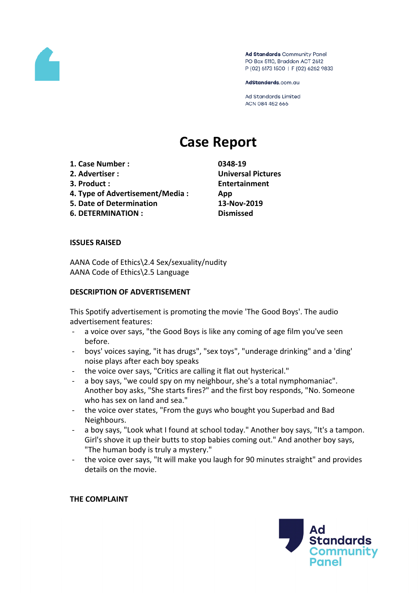

Ad Standards Community Panel PO Box 5110, Braddon ACT 2612 P (02) 6173 1500 | F (02) 6262 9833

AdStandards.com.au

Ad Standards Limited ACN 084 452 666

# **Case Report**

- **1. Case Number : 0348-19**
- 
- 
- **4. Type of Advertisement/Media : App**
- **5. Date of Determination 13-Nov-2019**

**6. DETERMINATION : Dismissed**

**2. Advertiser : Universal Pictures 3. Product : Entertainment**

## **ISSUES RAISED**

AANA Code of Ethics\2.4 Sex/sexuality/nudity AANA Code of Ethics\2.5 Language

### **DESCRIPTION OF ADVERTISEMENT**

This Spotify advertisement is promoting the movie 'The Good Boys'. The audio advertisement features:

- a voice over says, "the Good Boys is like any coming of age film you've seen before.
- boys' voices saying, "it has drugs", "sex toys", "underage drinking" and a 'ding' noise plays after each boy speaks
- the voice over says, "Critics are calling it flat out hysterical."
- a boy says, "we could spy on my neighbour, she's a total nymphomaniac". Another boy asks, "She starts fires?" and the first boy responds, "No. Someone who has sex on land and sea."
- the voice over states, "From the guys who bought you Superbad and Bad Neighbours.
- a boy says, "Look what I found at school today." Another boy says, "It's a tampon. Girl's shove it up their butts to stop babies coming out." And another boy says, "The human body is truly a mystery."
- the voice over says, "It will make you laugh for 90 minutes straight" and provides details on the movie.

**THE COMPLAINT**

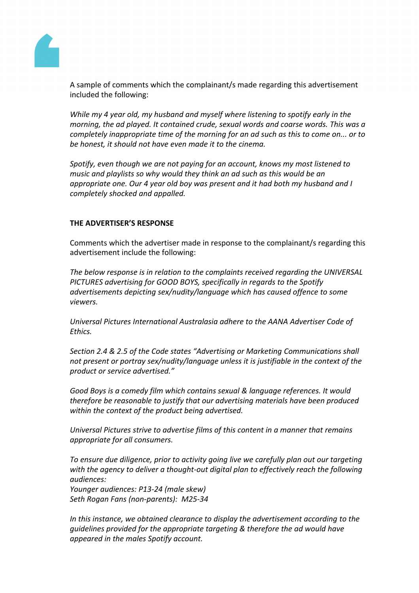

A sample of comments which the complainant/s made regarding this advertisement included the following:

*While my 4 year old, my husband and myself where listening to spotify early in the morning, the ad played. It contained crude, sexual words and coarse words. This was a completely inappropriate time of the morning for an ad such as this to come on... or to be honest, it should not have even made it to the cinema.*

*Spotify, even though we are not paying for an account, knows my most listened to music and playlists so why would they think an ad such as this would be an appropriate one. Our 4 year old boy was present and it had both my husband and I completely shocked and appalled.*

### **THE ADVERTISER'S RESPONSE**

Comments which the advertiser made in response to the complainant/s regarding this advertisement include the following:

*The below response is in relation to the complaints received regarding the UNIVERSAL PICTURES advertising for GOOD BOYS, specifically in regards to the Spotify advertisements depicting sex/nudity/language which has caused offence to some viewers.*

*Universal Pictures International Australasia adhere to the AANA Advertiser Code of Ethics.*

*Section 2.4 & 2.5 of the Code states "Advertising or Marketing Communications shall not present or portray sex/nudity/language unless it is justifiable in the context of the product or service advertised."*

*Good Boys is a comedy film which contains sexual & language references. It would therefore be reasonable to justify that our advertising materials have been produced within the context of the product being advertised.*

*Universal Pictures strive to advertise films of this content in a manner that remains appropriate for all consumers.*

*To ensure due diligence, prior to activity going live we carefully plan out our targeting with the agency to deliver a thought-out digital plan to effectively reach the following audiences:*

*Younger audiences: P13-24 (male skew) Seth Rogan Fans (non-parents): M25-34*

*In this instance, we obtained clearance to display the advertisement according to the guidelines provided for the appropriate targeting & therefore the ad would have appeared in the males Spotify account.*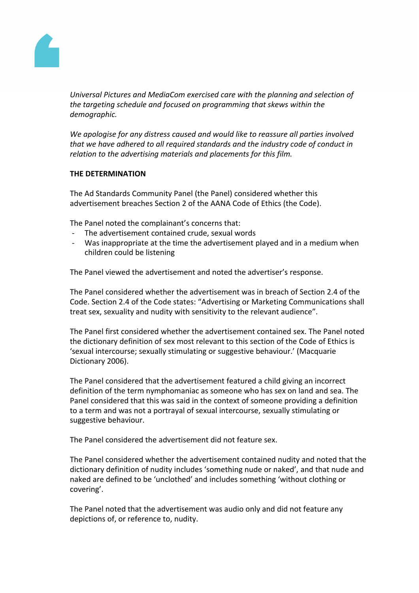

*Universal Pictures and MediaCom exercised care with the planning and selection of the targeting schedule and focused on programming that skews within the demographic.*

*We apologise for any distress caused and would like to reassure all parties involved that we have adhered to all required standards and the industry code of conduct in relation to the advertising materials and placements for this film.*

### **THE DETERMINATION**

The Ad Standards Community Panel (the Panel) considered whether this advertisement breaches Section 2 of the AANA Code of Ethics (the Code).

The Panel noted the complainant's concerns that:

- The advertisement contained crude, sexual words
- Was inappropriate at the time the advertisement played and in a medium when children could be listening

The Panel viewed the advertisement and noted the advertiser's response.

The Panel considered whether the advertisement was in breach of Section 2.4 of the Code. Section 2.4 of the Code states: "Advertising or Marketing Communications shall treat sex, sexuality and nudity with sensitivity to the relevant audience".

The Panel first considered whether the advertisement contained sex. The Panel noted the dictionary definition of sex most relevant to this section of the Code of Ethics is 'sexual intercourse; sexually stimulating or suggestive behaviour.' (Macquarie Dictionary 2006).

The Panel considered that the advertisement featured a child giving an incorrect definition of the term nymphomaniac as someone who has sex on land and sea. The Panel considered that this was said in the context of someone providing a definition to a term and was not a portrayal of sexual intercourse, sexually stimulating or suggestive behaviour.

The Panel considered the advertisement did not feature sex.

The Panel considered whether the advertisement contained nudity and noted that the dictionary definition of nudity includes 'something nude or naked', and that nude and naked are defined to be 'unclothed' and includes something 'without clothing or covering'.

The Panel noted that the advertisement was audio only and did not feature any depictions of, or reference to, nudity.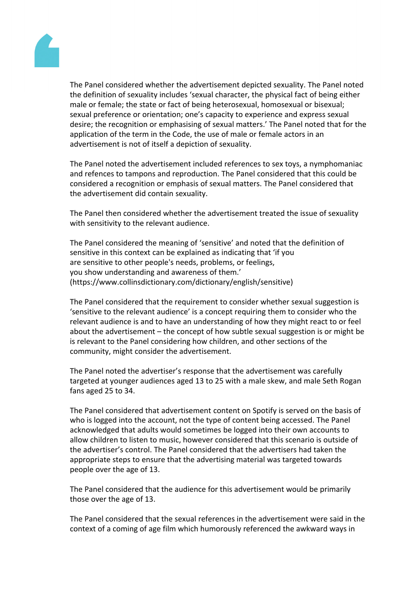

The Panel considered whether the advertisement depicted sexuality. The Panel noted the definition of sexuality includes 'sexual character, the physical fact of being either male or female; the state or fact of being heterosexual, homosexual or bisexual; sexual preference or orientation; one's capacity to experience and express sexual desire; the recognition or emphasising of sexual matters.' The Panel noted that for the application of the term in the Code, the use of male or female actors in an advertisement is not of itself a depiction of sexuality.

The Panel noted the advertisement included references to sex toys, a nymphomaniac and refences to tampons and reproduction. The Panel considered that this could be considered a recognition or emphasis of sexual matters. The Panel considered that the advertisement did contain sexuality.

The Panel then considered whether the advertisement treated the issue of sexuality with sensitivity to the relevant audience.

The Panel considered the meaning of 'sensitive' and noted that the definition of sensitive in this context can be explained as indicating that 'if you are sensitive to other people's needs, problems, or feelings, you show understanding and awareness of them.' (https://www.collinsdictionary.com/dictionary/english/sensitive)

The Panel considered that the requirement to consider whether sexual suggestion is 'sensitive to the relevant audience' is a concept requiring them to consider who the relevant audience is and to have an understanding of how they might react to or feel about the advertisement – the concept of how subtle sexual suggestion is or might be is relevant to the Panel considering how children, and other sections of the community, might consider the advertisement.

The Panel noted the advertiser's response that the advertisement was carefully targeted at younger audiences aged 13 to 25 with a male skew, and male Seth Rogan fans aged 25 to 34.

The Panel considered that advertisement content on Spotify is served on the basis of who is logged into the account, not the type of content being accessed. The Panel acknowledged that adults would sometimes be logged into their own accounts to allow children to listen to music, however considered that this scenario is outside of the advertiser's control. The Panel considered that the advertisers had taken the appropriate steps to ensure that the advertising material was targeted towards people over the age of 13.

The Panel considered that the audience for this advertisement would be primarily those over the age of 13.

The Panel considered that the sexual references in the advertisement were said in the context of a coming of age film which humorously referenced the awkward ways in